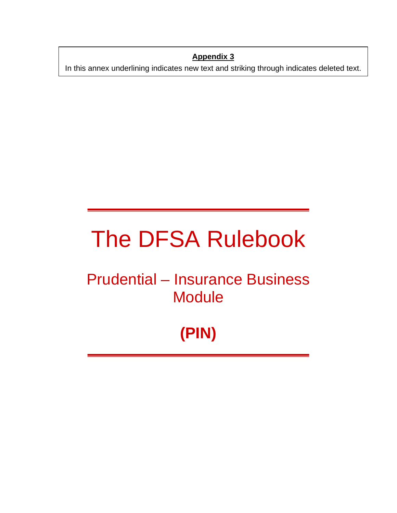**Appendix 3**

In this annex underlining indicates new text and striking through indicates deleted text.

# The DFSA Rulebook

# Prudential – Insurance Business **Module**

# **(PIN)**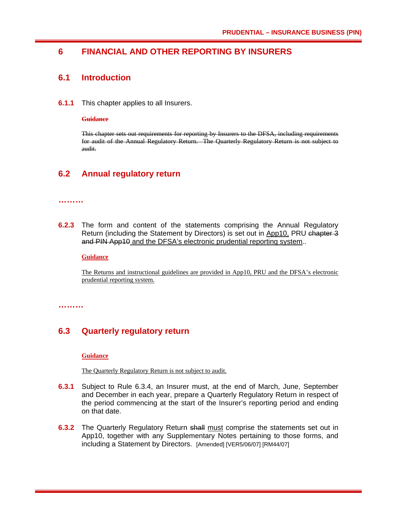# **6 FINANCIAL AND OTHER REPORTING BY INSURERS**

### **6.1 Introduction**

**6.1.1** This chapter applies to all Insurers.

#### **Guidance**

This chapter sets out requirements for reporting by Insurers to the DFSA, including requirements for audit of the Annual Regulatory Return. The Quarterly Regulatory Return is not subject to audit.

# **6.2 Annual regulatory return**

#### **………**

**6.2.3** The form and content of the statements comprising the Annual Regulatory Return (including the Statement by Directors) is set out in App10, PRU chapter 3 and PIN App10 and the DFSA's electronic prudential reporting system..

**Guidance**

The Returns and instructional guidelines are provided in App10, PRU and the DFSA's electronic prudential reporting system.

**………** 

# **6.3 Quarterly regulatory return**

#### **Guidance**

The Quarterly Regulatory Return is not subject to audit.

- **6.3.1** Subject to Rule 6.3.4, an Insurer must, at the end of March, June, September and December in each year, prepare a Quarterly Regulatory Return in respect of the period commencing at the start of the Insurer's reporting period and ending on that date.
- **6.3.2** The Quarterly Regulatory Return shall must comprise the statements set out in App10, together with any Supplementary Notes pertaining to those forms, and including a Statement by Directors. [Amended] [VER5/06/07] [RM44/07]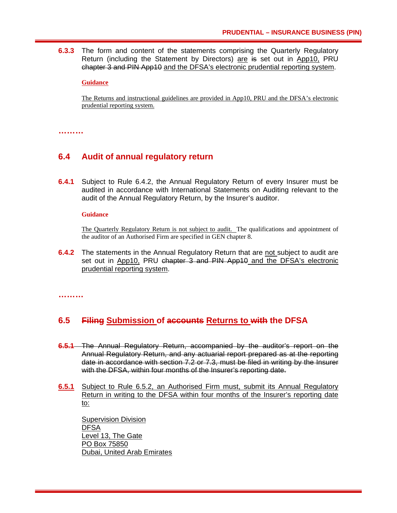**6.3.3** The form and content of the statements comprising the Quarterly Regulatory Return (including the Statement by Directors) are is set out in App10, PRU chapter 3 and PIN App10 and the DFSA's electronic prudential reporting system.

**Guidance**

The Returns and instructional guidelines are provided in App10, PRU and the DFSA's electronic prudential reporting system.

**………** 

### **6.4 Audit of annual regulatory return**

**6.4.1** Subject to Rule 6.4.2, the Annual Regulatory Return of every Insurer must be audited in accordance with International Statements on Auditing relevant to the audit of the Annual Regulatory Return, by the Insurer's auditor.

#### **Guidance**

The Quarterly Regulatory Return is not subject to audit. The qualifications and appointment of the auditor of an Authorised Firm are specified in GEN chapter 8.

**6.4.2** The statements in the Annual Regulatory Return that are not subject to audit are set out in App10, PRU chapter 3 and PIN App10 and the DFSA's electronic prudential reporting system.

**………** 

# **6.5 Filing Submission of accounts Returns to with the DFSA**

- **6.5.1** The Annual Regulatory Return, accompanied by the auditor's report on the Annual Regulatory Return, and any actuarial report prepared as at the reporting date in accordance with section 7.2 or 7.3, must be filed in writing by the Insurer with the DFSA, within four months of the Insurer's reporting date.
- **6.5.1** Subject to Rule 6.5.2, an Authorised Firm must, submit its Annual Regulatory Return in writing to the DFSA within four months of the Insurer's reporting date to:

Supervision Division **DFSA** Level 13, The Gate PO Box 75850 Dubai, United Arab Emirates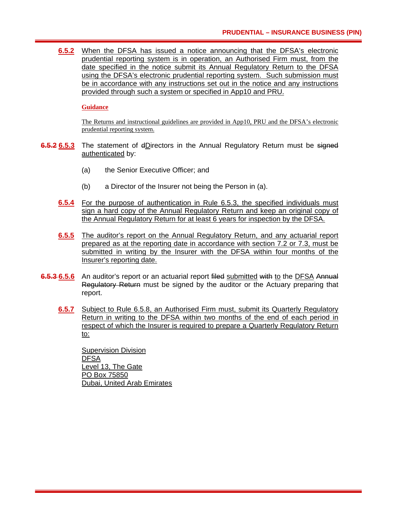**6.5.2** When the DFSA has issued a notice announcing that the DFSA's electronic prudential reporting system is in operation, an Authorised Firm must, from the date specified in the notice submit its Annual Regulatory Return to the DFSA using the DFSA's electronic prudential reporting system. Such submission must be in accordance with any instructions set out in the notice and any instructions provided through such a system or specified in App10 and PRU.

#### **Guidance**

The Returns and instructional guidelines are provided in App10, PRU and the DFSA's electronic prudential reporting system.

- **6.5.2 6.5.3** The statement of dDirectors in the Annual Regulatory Return must be signed authenticated by:
	- (a) the Senior Executive Officer; and
	- (b) a Director of the Insurer not being the Person in (a).
	- **6.5.4** For the purpose of authentication in Rule 6.5.3, the specified individuals must sign a hard copy of the Annual Regulatory Return and keep an original copy of the Annual Regulatory Return for at least 6 years for inspection by the DFSA.
	- **6.5.5** The auditor's report on the Annual Regulatory Return, and any actuarial report prepared as at the reporting date in accordance with section 7.2 or 7.3, must be submitted in writing by the Insurer with the DFSA within four months of the Insurer's reporting date.
- **6.5.3 6.5.6** An auditor's report or an actuarial report filed submitted with to the DFSA Annual Regulatory Return must be signed by the auditor or the Actuary preparing that report.
	- **6.5.7** Subject to Rule 6.5.8, an Authorised Firm must, submit its Quarterly Regulatory Return in writing to the DFSA within two months of the end of each period in respect of which the Insurer is required to prepare a Quarterly Regulatory Return to:

Supervision Division DFSA Level 13, The Gate PO Box 75850 Dubai, United Arab Emirates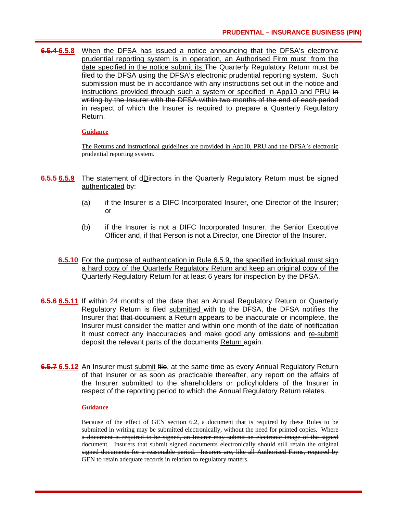**6.5.4 6.5.8** When the DFSA has issued a notice announcing that the DFSA's electronic prudential reporting system is in operation, an Authorised Firm must, from the date specified in the notice submit its The Quarterly Regulatory Return must be filed to the DFSA using the DFSA's electronic prudential reporting system. Such submission must be in accordance with any instructions set out in the notice and instructions provided through such a system or specified in App10 and PRU in writing by the Insurer with the DFSA within two months of the end of each period in respect of which the Insurer is required to prepare a Quarterly Regulatory Return.

#### **Guidance**

The Returns and instructional guidelines are provided in App10, PRU and the DFSA's electronic prudential reporting system.

- **6.5.5 6.5.9** The statement of dDirectors in the Quarterly Regulatory Return must be signed authenticated by:
	- (a) if the Insurer is a DIFC Incorporated Insurer, one Director of the Insurer; or
	- (b) if the Insurer is not a DIFC Incorporated Insurer, the Senior Executive Officer and, if that Person is not a Director, one Director of the Insurer.
	- **6.5.10** For the purpose of authentication in Rule 6.5.9, the specified individual must sign a hard copy of the Quarterly Regulatory Return and keep an original copy of the Quarterly Regulatory Return for at least 6 years for inspection by the DFSA.
- **6.5.6 6.5.11** If within 24 months of the date that an Annual Regulatory Return or Quarterly Regulatory Return is filed submitted with to the DFSA, the DFSA notifies the Insurer that that document a Return appears to be inaccurate or incomplete, the Insurer must consider the matter and within one month of the date of notification it must correct any inaccuracies and make good any omissions and re-submit deposit the relevant parts of the documents Return again.
- **6.5.7 6.5.12** An Insurer must submit file, at the same time as every Annual Regulatory Return of that Insurer or as soon as practicable thereafter, any report on the affairs of the Insurer submitted to the shareholders or policyholders of the Insurer in respect of the reporting period to which the Annual Regulatory Return relates.

#### **Guidance**

Because of the effect of GEN section 6.2, a document that is required by these Rules to be submitted in writing may be submitted electronically, without the need for printed copies. Where a document is required to be signed, an Insurer may submit an electronic image of the signed document. Insurers that submit signed documents electronically should still retain the original signed documents for a reasonable period. Insurers are, like all Authorised Firms, required by GEN to retain adequate records in relation to regulatory matters.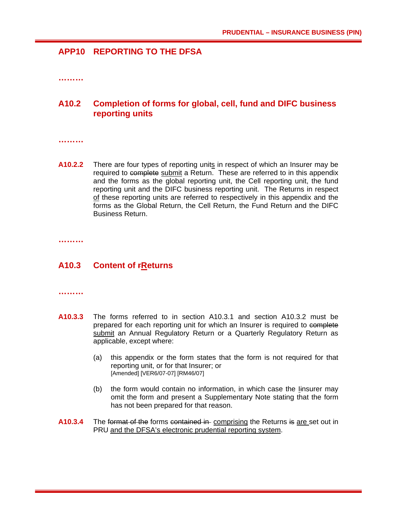# **APP10 REPORTING TO THE DFSA**

**………** 

# **A10.2 Completion of forms for global, cell, fund and DIFC business reporting units**

**………** 

**A10.2.2** There are four types of reporting units in respect of which an Insurer may be required to complete submit a Return. These are referred to in this appendix and the forms as the global reporting unit, the Cell reporting unit, the fund reporting unit and the DIFC business reporting unit. The Returns in respect of these reporting units are referred to respectively in this appendix and the forms as the Global Return, the Cell Return, the Fund Return and the DIFC Business Return.

**………** 

# **A10.3 Content of rReturns**

**………** 

- **A10.3.3** The forms referred to in section A10.3.1 and section A10.3.2 must be prepared for each reporting unit for which an Insurer is required to complete submit an Annual Regulatory Return or a Quarterly Regulatory Return as applicable, except where:
	- (a) this appendix or the form states that the form is not required for that reporting unit, or for that Insurer; or [Amended] [VER6/07-07] [RM46/07]
	- (b) the form would contain no information, in which case the Iinsurer may omit the form and present a Supplementary Note stating that the form has not been prepared for that reason.
- **A10.3.4** The format of the forms contained in comprising the Returns is are set out in PRU and the DFSA's electronic prudential reporting system.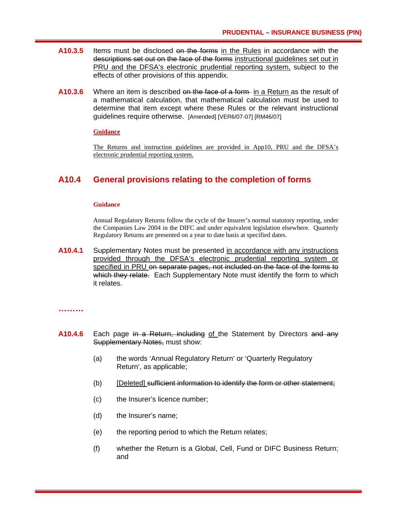- **A10.3.5** Items must be disclosed on the forms in the Rules in accordance with the descriptions set out on the face of the forms instructional guidelines set out in PRU and the DFSA's electronic prudential reporting system, subject to the effects of other provisions of this appendix.
- **A10.3.6** Where an item is described on the face of a form in a Return as the result of a mathematical calculation, that mathematical calculation must be used to determine that item except where these Rules or the relevant instructional guidelines require otherwise. [Amended] [VER6/07-07] [RM46/07]

#### **Guidance**

The Returns and instruction guidelines are provided in App10, PRU and the DFSA's electronic prudential reporting system.

# **A10.4 General provisions relating to the completion of forms**

#### **Guidance**

Annual Regulatory Returns follow the cycle of the Insurer's normal statutory reporting, under the Companies Law 2004 in the DIFC and under equivalent legislation elsewhere. Quarterly Regulatory Returns are presented on a year to date basis at specified dates.

**A10.4.1** Supplementary Notes must be presented in accordance with any instructions provided through the DFSA's electronic prudential reporting system or specified in PRU on separate pages, not included on the face of the forms to which they relate. Each Supplementary Note must identify the form to which it relates.

#### **………**

- **A10.4.6** Each page in a Return, including of the Statement by Directors and any Supplementary Notes, must show:
	- (a) the words 'Annual Regulatory Return' or 'Quarterly Regulatory Return', as applicable;
	- (b) [Deleted] sufficient information to identify the form or other statement;
	- (c) the Insurer's licence number;
	- (d) the Insurer's name;
	- (e) the reporting period to which the Return relates;
	- (f) whether the Return is a Global, Cell, Fund or DIFC Business Return; and